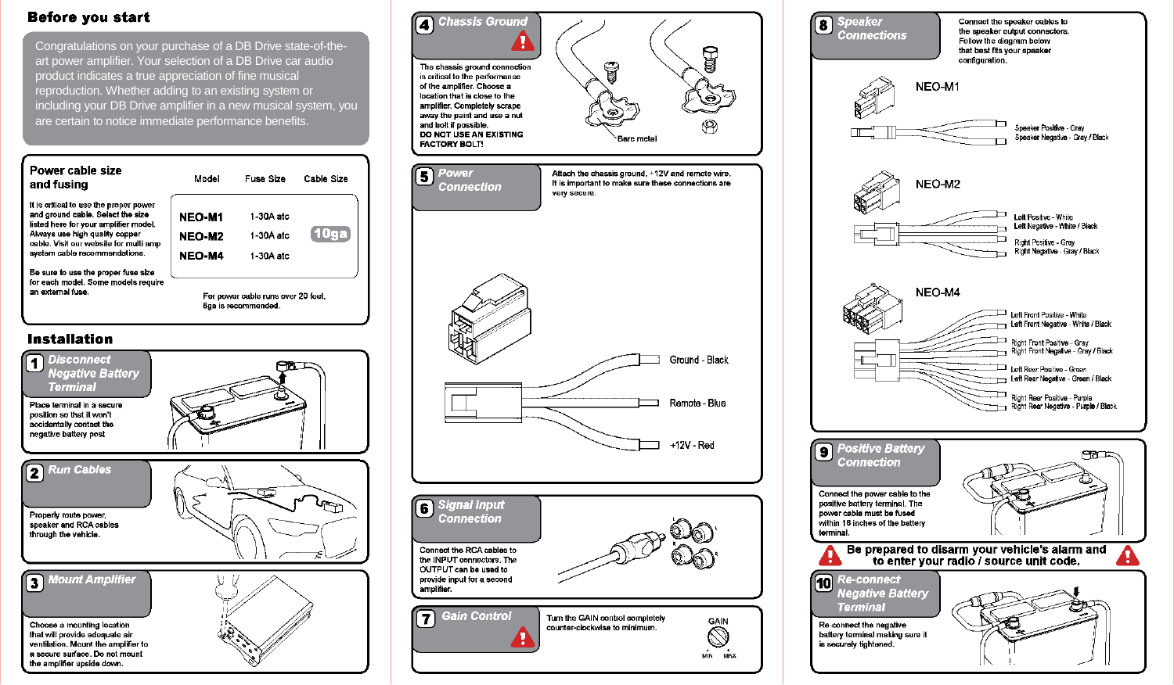# **Before you start**

Congratulations on your purchase of a DB Drive state-of-theart power amplifier. Your selection of a DB Drive car audio product indicates a true appreciation of fine musical reproduction. Whether adding to an existing system or including your DB Drive amplifier in a new musical system, you are certain to notice immediate performance benefits.



position so that it won't accidentally contact the negative battery post



2 Run Cables Properly route power, speaker and RCA cables through the vehicle. 3 Mount Amplifier Choose a mounting location that will provide adequate air ventilation. Mount the amplifier to a secure surface. Do not mount the amplifier upside down.



**Speaker** Connect the speaker cables to  $\overline{\mathbf{a}}$ the speaker output connectors. **Connections** Follow the diagram below that best fits your speaker configuration. NEO-M1 Speaker Positive - Grav Speaker Negative - Gray / Black NEO-M2 Left Positive - White Left Negative - White / Black Right Positive - Grav Right Negative - Gray / Black NEO-M4 Left Front Positive - White Left Front Negative - White / Black Right Front Positive - Gray<br>Right Front Negative - Gray / Black Left Rear Positive - Green Left Rear Negative - Green / Black Right Rear Positive - Purple Right Rear Negative - Purple / Black **9** Positive Battery **CRO Connection** Connect the power cable to the positive battery terminal. The power cable must be fused within 18 inches of the battery terminal. Be prepared to disarm your vehicle's alarm and to enter your radio / source unit code. н. **10 Re-connect Negative Battery Terminal** Re-connect the negative battery terminal making sure it is securely tightened.